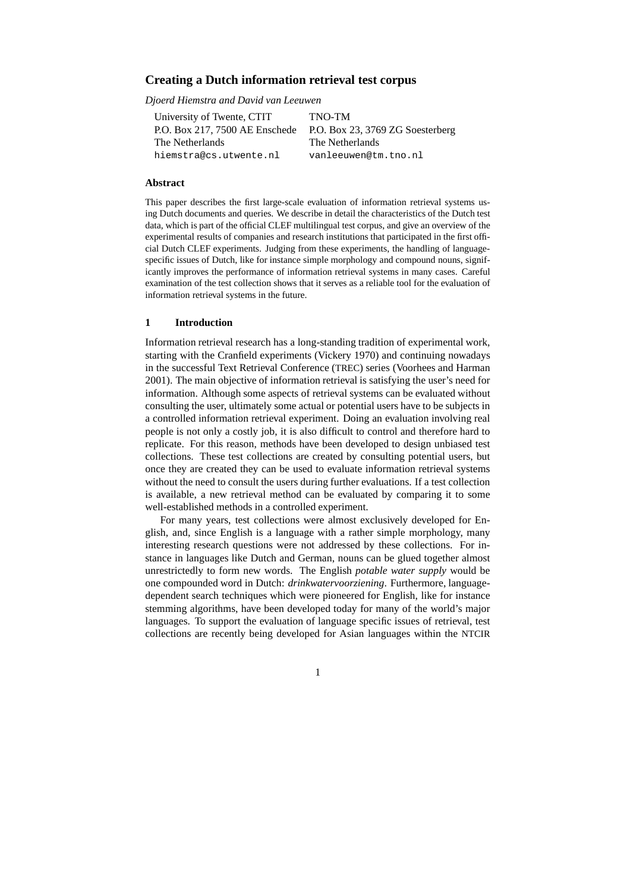# **Creating a Dutch information retrieval test corpus**

*Djoerd Hiemstra and David van Leeuwen*

University of Twente, CTIT TNO-TM The Netherlands The Netherlands hiemstra@cs.utwente.nl vanleeuwen@tm.tno.nl

P.O. Box 217, 7500 AE Enschede P.O. Box 23, 3769 ZG Soesterberg

## **Abstract**

This paper describes the first large-scale evaluation of information retrieval systems using Dutch documents and queries. We describe in detail the characteristics of the Dutch test data, which is part of the official CLEF multilingual test corpus, and give an overview of the experimental results of companies and research institutions that participated in the first official Dutch CLEF experiments. Judging from these experiments, the handling of languagespecific issues of Dutch, like for instance simple morphology and compound nouns, significantly improves the performance of information retrieval systems in many cases. Careful examination of the test collection shows that it serves as a reliable tool for the evaluation of information retrieval systems in the future.

## **1 Introduction**

Information retrieval research has a long-standing tradition of experimental work, starting with the Cranfield experiments (Vickery 1970) and continuing nowadays in the successful Text Retrieval Conference (TREC) series (Voorhees and Harman 2001). The main objective of information retrieval is satisfying the user's need for information. Although some aspects of retrieval systems can be evaluated without consulting the user, ultimately some actual or potential users have to be subjects in a controlled information retrieval experiment. Doing an evaluation involving real people is not only a costly job, it is also difficult to control and therefore hard to replicate. For this reason, methods have been developed to design unbiased test collections. These test collections are created by consulting potential users, but once they are created they can be used to evaluate information retrieval systems without the need to consult the users during further evaluations. If a test collection is available, a new retrieval method can be evaluated by comparing it to some well-established methods in a controlled experiment.

For many years, test collections were almost exclusively developed for English, and, since English is a language with a rather simple morphology, many interesting research questions were not addressed by these collections. For instance in languages like Dutch and German, nouns can be glued together almost unrestrictedly to form new words. The English *potable water supply* would be one compounded word in Dutch: *drinkwatervoorziening*. Furthermore, languagedependent search techniques which were pioneered for English, like for instance stemming algorithms, have been developed today for many of the world's major languages. To support the evaluation of language specific issues of retrieval, test collections are recently being developed for Asian languages within the NTCIR

1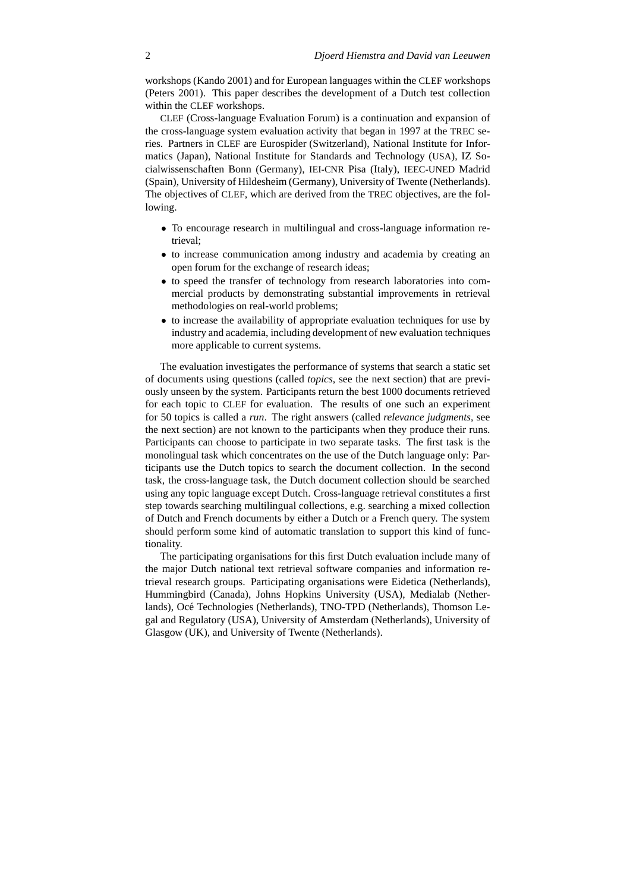workshops (Kando 2001) and for European languages within the CLEF workshops (Peters 2001). This paper describes the development of a Dutch test collection within the CLEF workshops.

CLEF (Cross-language Evaluation Forum) is a continuation and expansion of the cross-language system evaluation activity that began in 1997 at the TREC series. Partners in CLEF are Eurospider (Switzerland), National Institute for Informatics (Japan), National Institute for Standards and Technology (USA), IZ Socialwissenschaften Bonn (Germany), IEI-CNR Pisa (Italy), IEEC-UNED Madrid (Spain), University of Hildesheim (Germany), University of Twente (Netherlands). The objectives of CLEF, which are derived from the TREC objectives, are the following.

- To encourage research in multilingual and cross-language information retrieval;
- to increase communication among industry and academia by creating an open forum for the exchange of research ideas;
- to speed the transfer of technology from research laboratories into commercial products by demonstrating substantial improvements in retrieval methodologies on real-world problems;
- to increase the availability of appropriate evaluation techniques for use by industry and academia, including development of new evaluation techniques more applicable to current systems.

The evaluation investigates the performance of systems that search a static set of documents using questions (called *topics*, see the next section) that are previously unseen by the system. Participants return the best 1000 documents retrieved for each topic to CLEF for evaluation. The results of one such an experiment for 50 topics is called a *run*. The right answers (called *relevance judgments*, see the next section) are not known to the participants when they produce their runs. Participants can choose to participate in two separate tasks. The first task is the monolingual task which concentrates on the use of the Dutch language only: Participants use the Dutch topics to search the document collection. In the second task, the cross-language task, the Dutch document collection should be searched using any topic language except Dutch. Cross-language retrieval constitutes a first step towards searching multilingual collections, e.g. searching a mixed collection of Dutch and French documents by either a Dutch or a French query. The system should perform some kind of automatic translation to support this kind of functionality.

The participating organisations for this first Dutch evaluation include many of the major Dutch national text retrieval software companies and information retrieval research groups. Participating organisations were Eidetica (Netherlands), Hummingbird (Canada), Johns Hopkins University (USA), Medialab (Netherlands), Oce´ Technologies (Netherlands), TNO-TPD (Netherlands), Thomson Legal and Regulatory (USA), University of Amsterdam (Netherlands), University of Glasgow (UK), and University of Twente (Netherlands).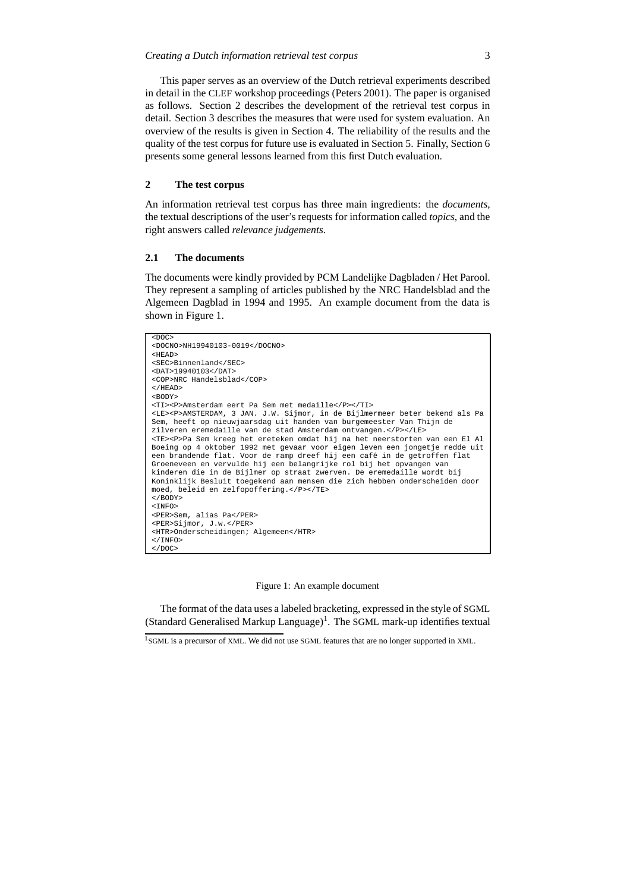This paper serves as an overview of the Dutch retrieval experiments described in detail in the CLEF workshop proceedings (Peters 2001). The paper is organised as follows. Section 2 describes the development of the retrieval test corpus in detail. Section 3 describes the measures that were used for system evaluation. An overview of the results is given in Section 4. The reliability of the results and the quality of the test corpus for future use is evaluated in Section 5. Finally, Section 6 presents some general lessons learned from this first Dutch evaluation.

## **2 The test corpus**

An information retrieval test corpus has three main ingredients: the *documents*, the textual descriptions of the user's requests for information called *topics*, and the right answers called *relevance judgements*.

### **2.1 The documents**

The documents were kindly provided by PCM Landelijke Dagbladen / Het Parool. They represent a sampling of articles published by the NRC Handelsblad and the Algemeen Dagblad in 1994 and 1995. An example document from the data is shown in Figure 1.

```
<DOC>
<DOCNO>NH19940103-0019</DOCNO>
<HEAD>
<SEC>Binnenland</SEC>
<DAT>19940103</DAT>
<COP>NRC Handelsblad</COP>
</HEAD>
<BODY><TI><P>Amsterdam eert Pa Sem met medaille</P></TI>
<LE><P>AMSTERDAM, 3 JAN. J.W. Sijmor, in de Bijlmermeer beter bekend als Pa
Sem, heeft op nieuwjaarsdag uit handen van burgemeester Van Thijn de
zilveren eremedaille van de stad Amsterdam ontvangen.</P></LE>
<TE><P>Pa Sem kreeg het ereteken omdat hij na het neerstorten van een El Al
Boeing op 4 oktober 1992 met gevaar voor eigen leven een jongetje redde uit
een brandende flat. Voor de ramp dreef hij een café in de getroffen flat
Groeneveen en vervulde hij een belangrijke rol bij het opvangen van
kinderen die in de Bijlmer op straat zwerven. De eremedaille wordt bij
Koninklijk Besluit toegekend aan mensen die zich hebben onderscheiden door
moed, beleid en zelfopoffering.</P></TE>
</BODY>
<INFO>
<PER>Sem, alias Pa</PER>
<PER>Sijmor, J.w.</PER>
<HTR>Onderscheidingen; Algemeen</HTR>
</INFO></DOC>
```
#### Figure 1: An example document

The format of the data uses a labeled bracketing, expressed in the style of SGML (Standard Generalised Markup Language)<sup>1</sup>. The SGML mark-up identifies textual

<sup>&</sup>lt;sup>1</sup>SGML is a precursor of XML. We did not use SGML features that are no longer supported in XML.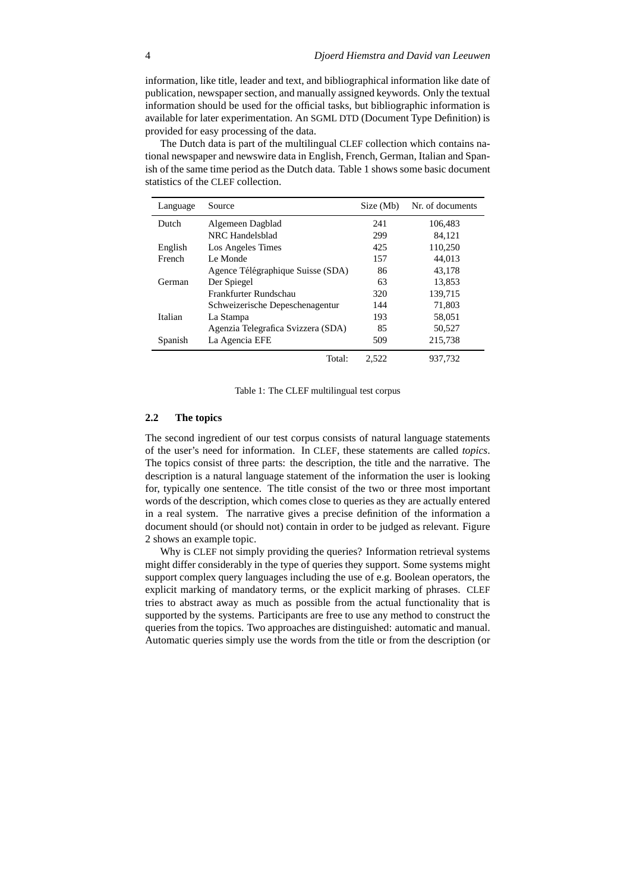information, like title, leader and text, and bibliographical information like date of publication, newspaper section, and manually assigned keywords. Only the textual information should be used for the official tasks, but bibliographic information is available for later experimentation. An SGML DTD (Document Type Definition) is provided for easy processing of the data.

The Dutch data is part of the multilingual CLEF collection which contains national newspaper and newswire data in English, French, German, Italian and Spanish of the same time period as the Dutch data. Table 1 shows some basic document statistics of the CLEF collection.

| Language | Source                             | Size (Mb) | Nr. of documents |
|----------|------------------------------------|-----------|------------------|
| Dutch    | Algemeen Dagblad                   | 241       | 106,483          |
|          | NRC Handelsblad                    | 299       | 84,121           |
| English  | Los Angeles Times                  | 425       | 110,250          |
| French   | Le Monde                           | 157       | 44.013           |
|          | Agence Télégraphique Suisse (SDA)  | 86        | 43,178           |
| German   | Der Spiegel                        | 63        | 13,853           |
|          | Frankfurter Rundschau              | 320       | 139,715          |
|          | Schweizerische Depeschenagentur    | 144       | 71,803           |
| Italian  | La Stampa                          | 193       | 58,051           |
|          | Agenzia Telegrafica Svizzera (SDA) | 85        | 50,527           |
| Spanish  | La Agencia EFE                     | 509       | 215.738          |
|          | Total:                             | 2.522     | 937.732          |

Table 1: The CLEF multilingual test corpus

#### **2.2 The topics**

The second ingredient of our test corpus consists of natural language statements of the user's need for information. In CLEF, these statements are called *topics*. The topics consist of three parts: the description, the title and the narrative. The description is a natural language statement of the information the user is looking for, typically one sentence. The title consist of the two or three most important words of the description, which comes close to queries as they are actually entered in a real system. The narrative gives a precise definition of the information a document should (or should not) contain in order to be judged as relevant. Figure 2 shows an example topic.

Why is CLEF not simply providing the queries? Information retrieval systems might differ considerably in the type of queries they support. Some systems might support complex query languages including the use of e.g. Boolean operators, the explicit marking of mandatory terms, or the explicit marking of phrases. CLEF tries to abstract away as much as possible from the actual functionality that is supported by the systems. Participants are free to use any method to construct the queries from the topics. Two approaches are distinguished: automatic and manual. Automatic queries simply use the words from the title or from the description (or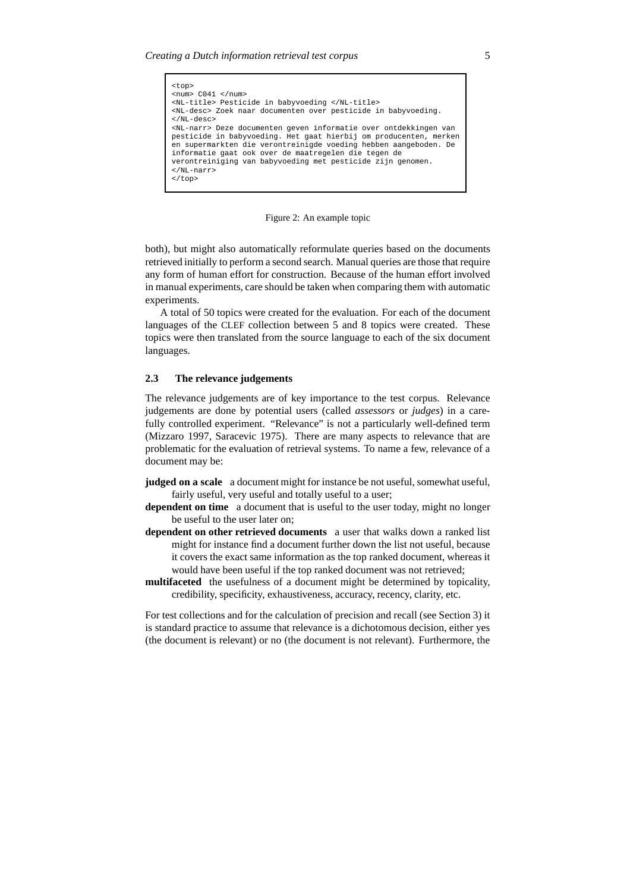```
<top>
<num> C041 </num
<NL-title> Pesticide in babyvoeding </NL-title>
<NL-desc> Zoek naar documenten over pesticide in babyvoeding.
</NL-desc>
<NL-narr> Deze documenten geven informatie over ontdekkingen van
pesticide in babyvoeding. Het gaat hierbij om producenten, merken
en supermarkten die verontreinigde voeding hebben aangeboden. De
informatie gaat ook over de maatregelen die tegen de
verontreiniging van babyvoeding met pesticide zijn genomen.
</NL-narr>
</top>
```
Figure 2: An example topic

both), but might also automatically reformulate queries based on the documents retrieved initially to perform a second search. Manual queries are those that require any form of human effort for construction. Because of the human effort involved in manual experiments, care should be taken when comparing them with automatic experiments.

A total of 50 topics were created for the evaluation. For each of the document languages of the CLEF collection between 5 and 8 topics were created. These topics were then translated from the source language to each of the six document languages.

# **2.3 The relevance judgements**

The relevance judgements are of key importance to the test corpus. Relevance judgements are done by potential users (called *assessors* or *judges*) in a carefully controlled experiment. "Relevance" is not a particularly well-defined term (Mizzaro 1997, Saracevic 1975). There are many aspects to relevance that are problematic for the evaluation of retrieval systems. To name a few, relevance of a document may be:

- **judged on a scale** a document might for instance be not useful, somewhat useful, fairly useful, very useful and totally useful to a user;
- **dependent on time** a document that is useful to the user today, might no longer be useful to the user later on;
- **dependent on other retrieved documents** a user that walks down a ranked list might for instance find a document further down the list not useful, because it covers the exact same information as the top ranked document, whereas it would have been useful if the top ranked document was not retrieved;
- **multifaceted** the usefulness of a document might be determined by topicality, credibility, specificity, exhaustiveness, accuracy, recency, clarity, etc.

For test collections and for the calculation of precision and recall (see Section 3) it is standard practice to assume that relevance is a dichotomous decision, either yes (the document is relevant) or no (the document is not relevant). Furthermore, the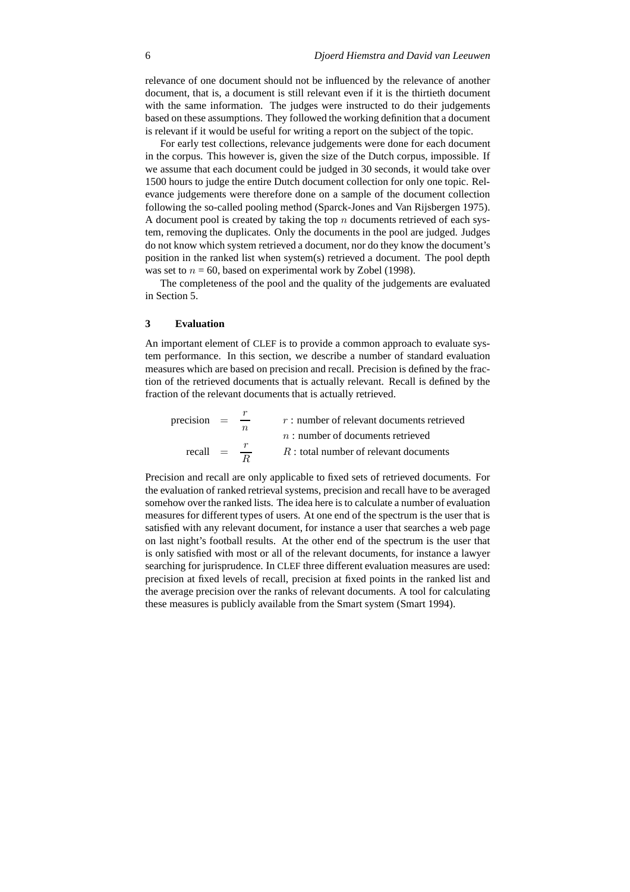relevance of one document should not be influenced by the relevance of another document, that is, a document is still relevant even if it is the thirtieth document with the same information. The judges were instructed to do their judgements based on these assumptions. They followed the working definition that a document is relevant if it would be useful for writing a report on the subject of the topic.

For early test collections, relevance judgements were done for each document in the corpus. This however is, given the size of the Dutch corpus, impossible. If we assume that each document could be judged in 30 seconds, it would take over 1500 hours to judge the entire Dutch document collection for only one topic. Relevance judgements were therefore done on a sample of the document collection following the so-called pooling method (Sparck-Jones and Van Rijsbergen 1975). A document pool is created by taking the top  $n$  documents retrieved of each system, removing the duplicates. Only the documents in the pool are judged. Judges do not know which system retrieved a document, nor do they know the document's position in the ranked list when system(s) retrieved a document. The pool depth was set to  $n = 60$ , based on experimental work by Zobel (1998).

The completeness of the pool and the quality of the judgements are evaluated in Section 5.

### **3 Evaluation**

An important element of CLEF is to provide a common approach to evaluate system performance. In this section, we describe a number of standard evaluation measures which are based on precision and recall. Precision is defined by the fraction of the retrieved documents that is actually relevant. Recall is defined by the fraction of the relevant documents that is actually retrieved.

| $precision =$ | $\,n$ | $r:$ number of relevant documents retrieved |
|---------------|-------|---------------------------------------------|
|               |       | $n:$ number of documents retrieved          |
| $recall =$    |       | $R$ : total number of relevant documents    |

Precision and recall are only applicable to fixed sets of retrieved documents. For the evaluation of ranked retrieval systems, precision and recall have to be averaged somehow over the ranked lists. The idea here is to calculate a number of evaluation measures for different types of users. At one end of the spectrum is the user that is satisfied with any relevant document, for instance a user that searches a web page on last night's football results. At the other end of the spectrum is the user that is only satisfied with most or all of the relevant documents, for instance a lawyer searching for jurisprudence. In CLEF three different evaluation measures are used: precision at fixed levels of recall, precision at fixed points in the ranked list and the average precision over the ranks of relevant documents. A tool for calculating these measures is publicly available from the Smart system (Smart 1994).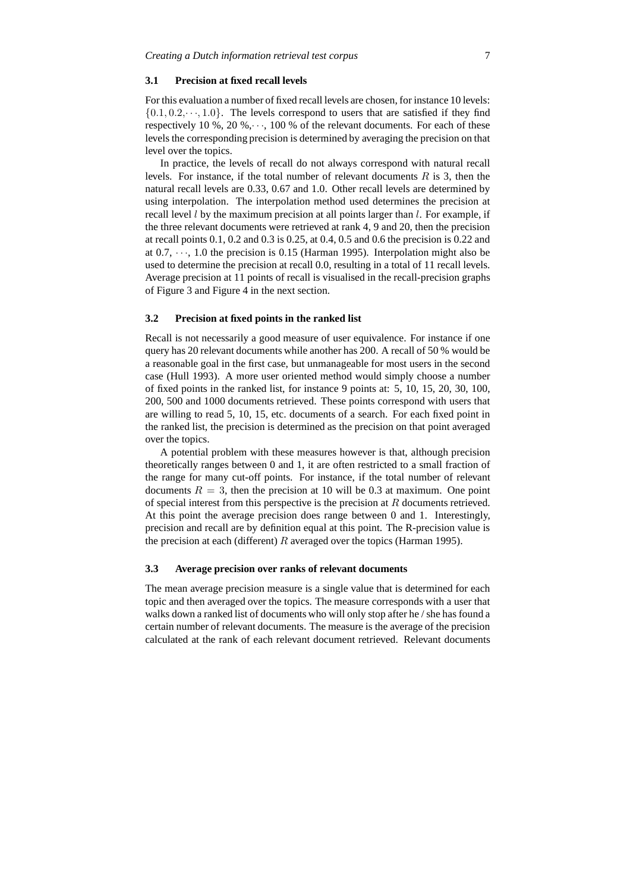### **3.1 Precision at fixed recall levels**

For this evaluation a number of fixed recall levels are chosen, for instance 10 levels:  ${0.1, 0.2, \dots, 1.0}$ . The levels correspond to users that are satisfied if they find respectively 10 %, 20 %, $\cdots$ , 100 % of the relevant documents. For each of these levels the corresponding precision is determined by averaging the precision on that level over the topics.

In practice, the levels of recall do not always correspond with natural recall levels. For instance, if the total number of relevant documents  $R$  is 3, then the natural recall levels are 0.33, 0.67 and 1.0. Other recall levels are determined by using interpolation. The interpolation method used determines the precision at recall level  $l$  by the maximum precision at all points larger than  $l$ . For example, if the three relevant documents were retrieved at rank 4, 9 and 20, then the precision at recall points 0.1, 0.2 and 0.3 is 0.25, at 0.4, 0.5 and 0.6 the precision is 0.22 and at  $0.7, \dots, 1.0$  the precision is 0.15 (Harman 1995). Interpolation might also be used to determine the precision at recall 0.0, resulting in a total of 11 recall levels. Average precision at 11 points of recall is visualised in the recall-precision graphs of Figure 3 and Figure 4 in the next section.

## **3.2 Precision at fixed points in the ranked list**

Recall is not necessarily a good measure of user equivalence. For instance if one query has 20 relevant documents while another has 200. A recall of 50 % would be a reasonable goal in the first case, but unmanageable for most users in the second case (Hull 1993). A more user oriented method would simply choose a number of fixed points in the ranked list, for instance 9 points at: 5, 10, 15, 20, 30, 100, 200, 500 and 1000 documents retrieved. These points correspond with users that are willing to read 5, 10, 15, etc. documents of a search. For each fixed point in the ranked list, the precision is determined as the precision on that point averaged over the topics.

A potential problem with these measures however is that, although precision theoretically ranges between 0 and 1, it are often restricted to a small fraction of the range for many cut-off points. For instance, if the total number of relevant documents  $R = 3$ , then the precision at 10 will be 0.3 at maximum. One point of special interest from this perspective is the precision at R documents retrieved. At this point the average precision does range between 0 and 1. Interestingly, precision and recall are by definition equal at this point. The R-precision value is the precision at each (different)  $R$  averaged over the topics (Harman 1995).

### **3.3 Average precision over ranks of relevant documents**

The mean average precision measure is a single value that is determined for each topic and then averaged over the topics. The measure corresponds with a user that walks down a ranked list of documents who will only stop after he / she has found a certain number of relevant documents. The measure is the average of the precision calculated at the rank of each relevant document retrieved. Relevant documents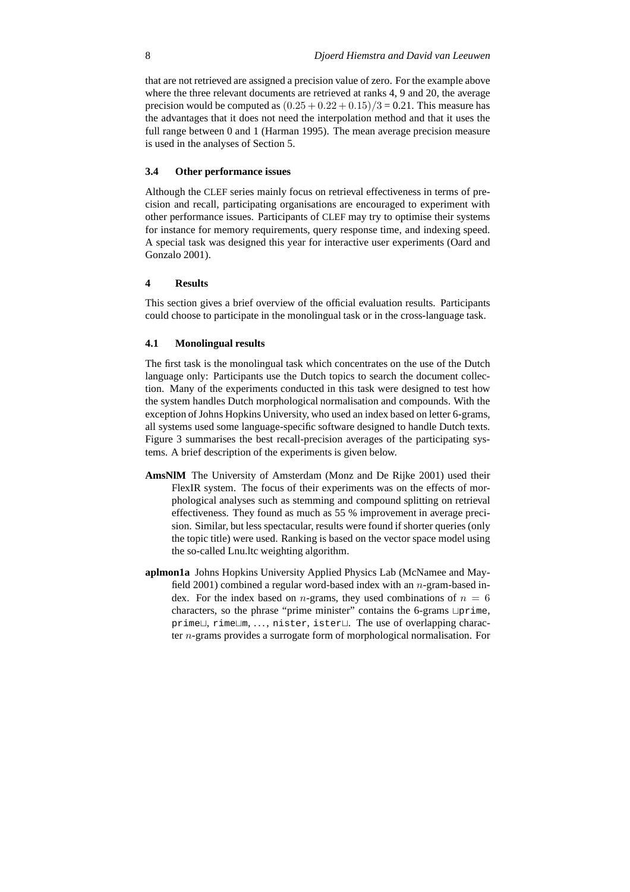that are not retrieved are assigned a precision value of zero. For the example above where the three relevant documents are retrieved at ranks 4, 9 and 20, the average precision would be computed as  $(0.25 + 0.22 + 0.15)/3 = 0.21$ . This measure has the advantages that it does not need the interpolation method and that it uses the full range between 0 and 1 (Harman 1995). The mean average precision measure is used in the analyses of Section 5.

#### **3.4 Other performance issues**

Although the CLEF series mainly focus on retrieval effectiveness in terms of precision and recall, participating organisations are encouraged to experiment with other performance issues. Participants of CLEF may try to optimise their systems for instance for memory requirements, query response time, and indexing speed. A special task was designed this year for interactive user experiments (Oard and Gonzalo 2001).

# **4 Results**

This section gives a brief overview of the official evaluation results. Participants could choose to participate in the monolingual task or in the cross-language task.

## **4.1 Monolingual results**

The first task is the monolingual task which concentrates on the use of the Dutch language only: Participants use the Dutch topics to search the document collection. Many of the experiments conducted in this task were designed to test how the system handles Dutch morphological normalisation and compounds. With the exception of Johns Hopkins University, who used an index based on letter 6-grams, all systems used some language-specific software designed to handle Dutch texts. Figure 3 summarises the best recall-precision averages of the participating systems. A brief description of the experiments is given below.

- **AmsNlM** The University of Amsterdam (Monz and De Rijke 2001) used their FlexIR system. The focus of their experiments was on the effects of morphological analyses such as stemming and compound splitting on retrieval effectiveness. They found as much as 55 % improvement in average precision. Similar, but less spectacular, results were found if shorter queries (only the topic title) were used. Ranking is based on the vector space model using the so-called Lnu.ltc weighting algorithm.
- **aplmon1a** Johns Hopkins University Applied Physics Lab (McNamee and Mayfield  $2001$ ) combined a regular word-based index with an n-gram-based index. For the index based on *n*-grams, they used combinations of  $n = 6$ characters, so the phrase "prime minister" contains the 6-grams  $\Box$ prime, prime $\sqcup$ , rime $\sqcup$ m, ..., nister, ister $\sqcup$ . The use of overlapping character n-grams provides a surrogate form of morphological normalisation. For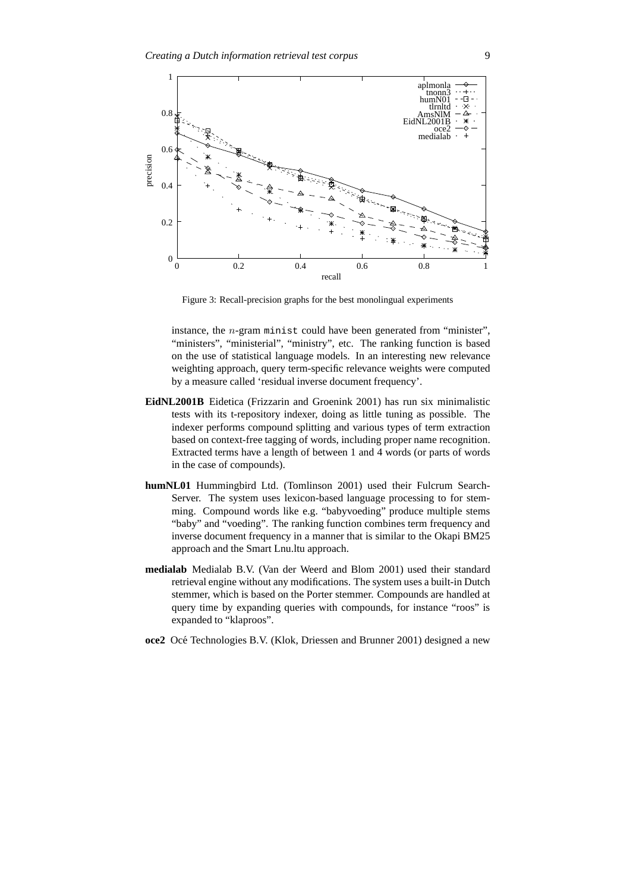

Figure 3: Recall-precision graphs for the best monolingual experiments

instance, the n-gram minist could have been generated from "minister", "ministers", "ministerial", "ministry", etc. The ranking function is based on the use of statistical language models. In an interesting new relevance weighting approach, query term-specific relevance weights were computed by a measure called 'residual inverse document frequency'.

- **EidNL2001B** Eidetica (Frizzarin and Groenink 2001) has run six minimalistic tests with its t-repository indexer, doing as little tuning as possible. The indexer performs compound splitting and various types of term extraction based on context-free tagging of words, including proper name recognition. Extracted terms have a length of between 1 and 4 words (or parts of words in the case of compounds).
- **humNL01** Hummingbird Ltd. (Tomlinson 2001) used their Fulcrum Search-Server. The system uses lexicon-based language processing to for stemming. Compound words like e.g. "babyvoeding" produce multiple stems "baby" and "voeding". The ranking function combines term frequency and inverse document frequency in a manner that is similar to the Okapi BM25 approach and the Smart Lnu.ltu approach.
- **medialab** Medialab B.V. (Van der Weerd and Blom 2001) used their standard retrieval engine without any modifications. The system uses a built-in Dutch stemmer, which is based on the Porter stemmer. Compounds are handled at query time by expanding queries with compounds, for instance "roos" is expanded to "klaproos".
- **oce2** Océ Technologies B.V. (Klok, Driessen and Brunner 2001) designed a new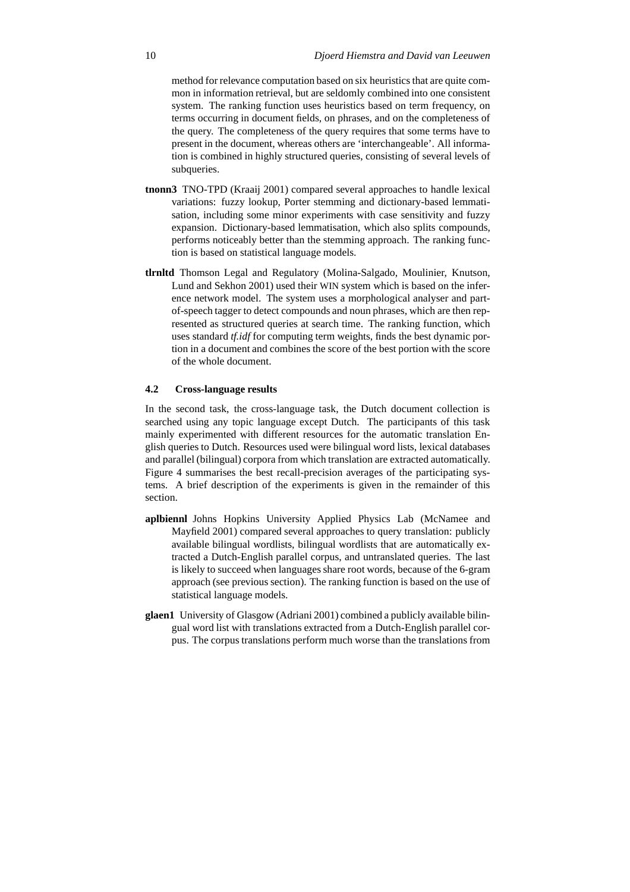method for relevance computation based on six heuristics that are quite common in information retrieval, but are seldomly combined into one consistent system. The ranking function uses heuristics based on term frequency, on terms occurring in document fields, on phrases, and on the completeness of the query. The completeness of the query requires that some terms have to present in the document, whereas others are 'interchangeable'. All information is combined in highly structured queries, consisting of several levels of subqueries.

- **tnonn3** TNO-TPD (Kraaij 2001) compared several approaches to handle lexical variations: fuzzy lookup, Porter stemming and dictionary-based lemmatisation, including some minor experiments with case sensitivity and fuzzy expansion. Dictionary-based lemmatisation, which also splits compounds, performs noticeably better than the stemming approach. The ranking function is based on statistical language models.
- **tlrnltd** Thomson Legal and Regulatory (Molina-Salgado, Moulinier, Knutson, Lund and Sekhon 2001) used their WIN system which is based on the inference network model. The system uses a morphological analyser and partof-speech tagger to detect compounds and noun phrases, which are then represented as structured queries at search time. The ranking function, which uses standard *tf.idf* for computing term weights, finds the best dynamic portion in a document and combines the score of the best portion with the score of the whole document.

## **4.2 Cross-language results**

In the second task, the cross-language task, the Dutch document collection is searched using any topic language except Dutch. The participants of this task mainly experimented with different resources for the automatic translation English queries to Dutch. Resources used were bilingual word lists, lexical databases and parallel (bilingual) corpora from which translation are extracted automatically. Figure 4 summarises the best recall-precision averages of the participating systems. A brief description of the experiments is given in the remainder of this section.

- **aplbiennl** Johns Hopkins University Applied Physics Lab (McNamee and Mayfield 2001) compared several approaches to query translation: publicly available bilingual wordlists, bilingual wordlists that are automatically extracted a Dutch-English parallel corpus, and untranslated queries. The last is likely to succeed when languages share root words, because of the 6-gram approach (see previous section). The ranking function is based on the use of statistical language models.
- **glaen1** University of Glasgow (Adriani 2001) combined a publicly available bilingual word list with translations extracted from a Dutch-English parallel corpus. The corpus translations perform much worse than the translations from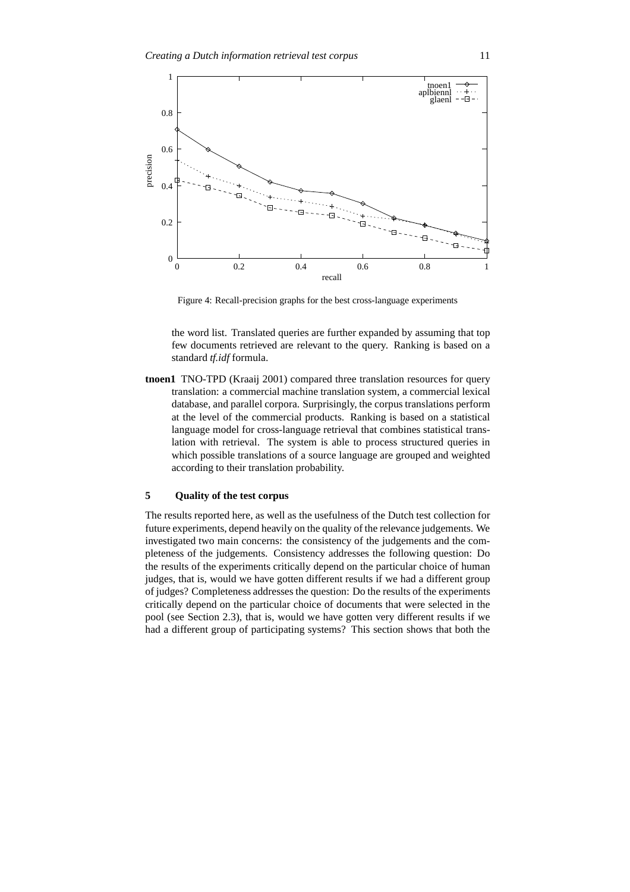

Figure 4: Recall-precision graphs for the best cross-language experiments

the word list. Translated queries are further expanded by assuming that top few documents retrieved are relevant to the query. Ranking is based on a standard *tf.idf* formula.

**tnoen1** TNO-TPD (Kraaij 2001) compared three translation resources for query translation: a commercial machine translation system, a commercial lexical database, and parallel corpora. Surprisingly, the corpus translations perform at the level of the commercial products. Ranking is based on a statistical language model for cross-language retrieval that combines statistical translation with retrieval. The system is able to process structured queries in which possible translations of a source language are grouped and weighted according to their translation probability.

### **5 Quality of the test corpus**

The results reported here, as well as the usefulness of the Dutch test collection for future experiments, depend heavily on the quality of the relevance judgements. We investigated two main concerns: the consistency of the judgements and the completeness of the judgements. Consistency addresses the following question: Do the results of the experiments critically depend on the particular choice of human judges, that is, would we have gotten different results if we had a different group of judges? Completeness addresses the question: Do the results of the experiments critically depend on the particular choice of documents that were selected in the pool (see Section 2.3), that is, would we have gotten very different results if we had a different group of participating systems? This section shows that both the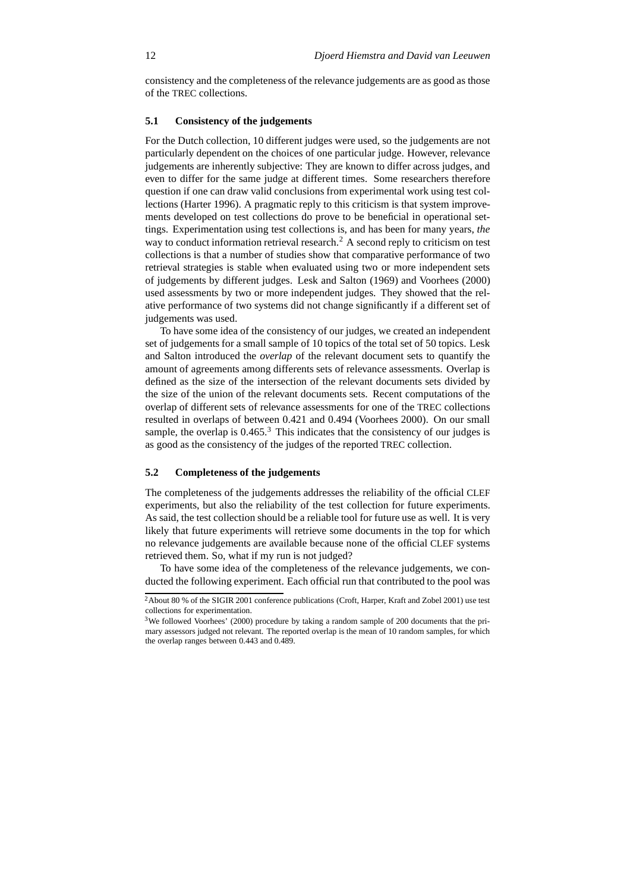consistency and the completeness of the relevance judgements are as good as those of the TREC collections.

#### **5.1 Consistency of the judgements**

For the Dutch collection, 10 different judges were used, so the judgements are not particularly dependent on the choices of one particular judge. However, relevance judgements are inherently subjective: They are known to differ across judges, and even to differ for the same judge at different times. Some researchers therefore question if one can draw valid conclusions from experimental work using test collections (Harter 1996). A pragmatic reply to this criticism is that system improvements developed on test collections do prove to be beneficial in operational settings. Experimentation using test collections is, and has been for many years, *the* way to conduct information retrieval research.<sup>2</sup> A second reply to criticism on test collections is that a number of studies show that comparative performance of two retrieval strategies is stable when evaluated using two or more independent sets of judgements by different judges. Lesk and Salton (1969) and Voorhees (2000) used assessments by two or more independent judges. They showed that the relative performance of two systems did not change significantly if a different set of judgements was used.

To have some idea of the consistency of our judges, we created an independent set of judgements for a small sample of 10 topics of the total set of 50 topics. Lesk and Salton introduced the *overlap* of the relevant document sets to quantify the amount of agreements among differents sets of relevance assessments. Overlap is defined as the size of the intersection of the relevant documents sets divided by the size of the union of the relevant documents sets. Recent computations of the overlap of different sets of relevance assessments for one of the TREC collections resulted in overlaps of between 0.421 and 0.494 (Voorhees 2000). On our small sample, the overlap is 0.465.<sup>3</sup> This indicates that the consistency of our judges is as good as the consistency of the judges of the reported TREC collection.

### **5.2 Completeness of the judgements**

The completeness of the judgements addresses the reliability of the official CLEF experiments, but also the reliability of the test collection for future experiments. As said, the test collection should be a reliable tool for future use as well. It is very likely that future experiments will retrieve some documents in the top for which no relevance judgements are available because none of the official CLEF systems retrieved them. So, what if my run is not judged?

To have some idea of the completeness of the relevance judgements, we conducted the following experiment. Each official run that contributed to the pool was

<sup>2</sup>About 80 % of the SIGIR 2001 conference publications (Croft, Harper, Kraft and Zobel 2001) use test collections for experimentation.

<sup>&</sup>lt;sup>3</sup>We followed Voorhees' (2000) procedure by taking a random sample of 200 documents that the primary assessors judged not relevant. The reported overlap is the mean of 10 random samples, for which the overlap ranges between 0.443 and 0.489.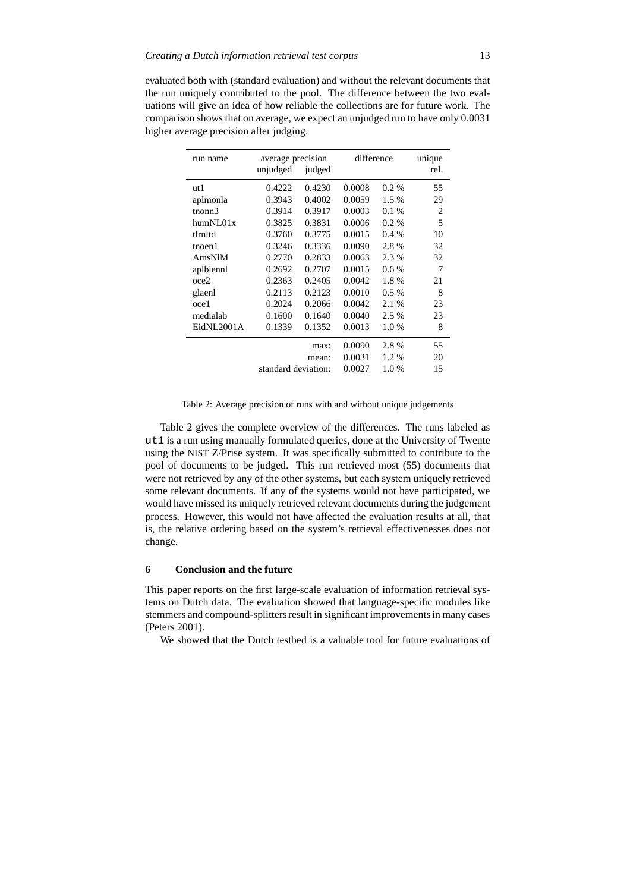evaluated both with (standard evaluation) and without the relevant documents that the run uniquely contributed to the pool. The difference between the two evaluations will give an idea of how reliable the collections are for future work. The comparison shows that on average, we expect an unjudged run to have only 0.0031 higher average precision after judging.

| run name      | average precision<br>unjudged<br>judged |        | difference |         | unique<br>rel. |
|---------------|-----------------------------------------|--------|------------|---------|----------------|
| ut1           | 0.4222                                  | 0.4230 | 0.0008     | $0.2\%$ | 55             |
| aplmonla      | 0.3943                                  | 0.4002 | 0.0059     | 1.5 %   | 29             |
| $t$ nonn $3$  | 0.3914                                  | 0.3917 | 0.0003     | 0.1%    | 2              |
| humNLO1x      | 0.3825                                  | 0.3831 | 0.0006     | $0.2\%$ | 5              |
| tlrnltd       | 0.3760                                  | 0.3775 | 0.0015     | $0.4\%$ | 10             |
| tnoen1        | 0.3246                                  | 0.3336 | 0.0090     | 2.8%    | 32             |
| AmsNIM        | 0.2770                                  | 0.2833 | 0.0063     | 2.3 %   | 32             |
| aplbiennl     | 0.2692                                  | 0.2707 | 0.0015     | $0.6\%$ | 7              |
| $_{\rm oce2}$ | 0.2363                                  | 0.2405 | 0.0042     | 1.8%    | 21             |
| glaenl        | 0.2113                                  | 0.2123 | 0.0010     | $0.5\%$ | 8              |
| $\alpha$ ce 1 | 0.2024                                  | 0.2066 | 0.0042     | 2.1 %   | 23             |
| medialab      | 0.1600                                  | 0.1640 | 0.0040     | 2.5 %   | 23             |
| EidNL2001A    | 0.1339                                  | 0.1352 | 0.0013     | 1.0%    | 8              |
|               |                                         | max:   | 0.0090     | 2.8%    | 55             |
|               |                                         | mean:  | 0.0031     | $1.2\%$ | 20             |
|               | standard deviation:                     |        | 0.0027     | 1.0%    | 15             |

Table 2: Average precision of runs with and without unique judgements

Table 2 gives the complete overview of the differences. The runs labeled as ut1 is a run using manually formulated queries, done at the University of Twente using the NIST Z/Prise system. It was specifically submitted to contribute to the pool of documents to be judged. This run retrieved most (55) documents that were not retrieved by any of the other systems, but each system uniquely retrieved some relevant documents. If any of the systems would not have participated, we would have missed its uniquely retrieved relevant documents during the judgement process. However, this would not have affected the evaluation results at all, that is, the relative ordering based on the system's retrieval effectivenesses does not change.

#### **6 Conclusion and the future**

This paper reports on the first large-scale evaluation of information retrieval systems on Dutch data. The evaluation showed that language-specific modules like stemmers and compound-splitters result in significant improvements in many cases (Peters 2001).

We showed that the Dutch testbed is a valuable tool for future evaluations of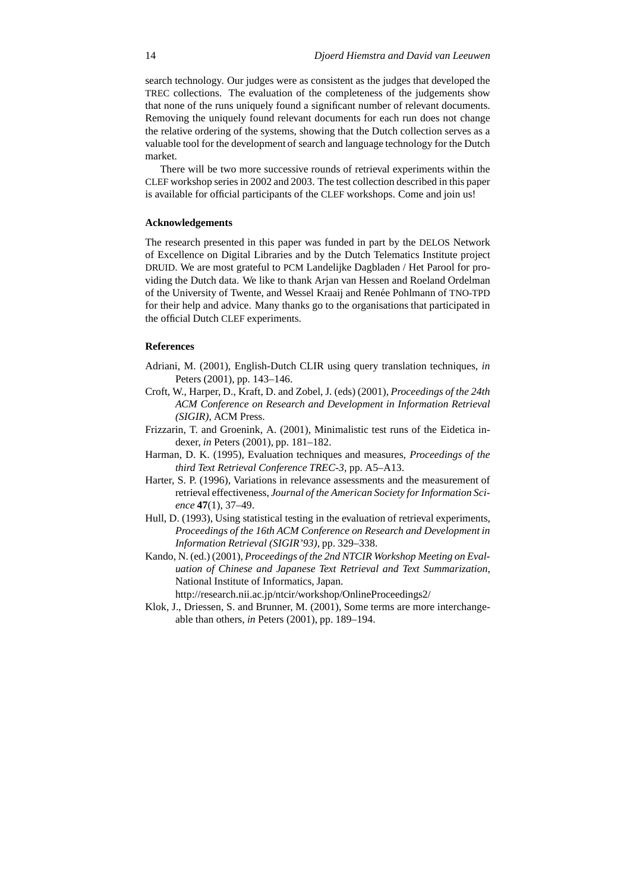search technology. Our judges were as consistent as the judges that developed the TREC collections. The evaluation of the completeness of the judgements show that none of the runs uniquely found a significant number of relevant documents. Removing the uniquely found relevant documents for each run does not change the relative ordering of the systems, showing that the Dutch collection serves as a valuable tool for the development of search and language technology for the Dutch market.

There will be two more successive rounds of retrieval experiments within the CLEF workshop series in 2002 and 2003. The test collection described in this paper is available for official participants of the CLEF workshops. Come and join us!

### **Acknowledgements**

The research presented in this paper was funded in part by the DELOS Network of Excellence on Digital Libraries and by the Dutch Telematics Institute project DRUID. We are most grateful to PCM Landelijke Dagbladen / Het Parool for providing the Dutch data. We like to thank Arjan van Hessen and Roeland Ordelman of the University of Twente, and Wessel Kraaij and Renée Pohlmann of TNO-TPD for their help and advice. Many thanks go to the organisations that participated in the official Dutch CLEF experiments.

### **References**

- Adriani, M. (2001), English-Dutch CLIR using query translation techniques, *in* Peters (2001), pp. 143–146.
- Croft, W., Harper, D., Kraft, D. and Zobel, J. (eds) (2001), *Proceedings of the 24th ACM Conference on Research and Development in Information Retrieval (SIGIR)*, ACM Press.
- Frizzarin, T. and Groenink, A. (2001), Minimalistic test runs of the Eidetica indexer, *in* Peters (2001), pp. 181–182.
- Harman, D. K. (1995), Evaluation techniques and measures, *Proceedings of the third Text Retrieval Conference TREC-3*, pp. A5–A13.
- Harter, S. P. (1996), Variations in relevance assessments and the measurement of retrieval effectiveness, *Journal of the American Society for Information Science* **47**(1), 37–49.
- Hull, D. (1993), Using statistical testing in the evaluation of retrieval experiments, *Proceedings of the 16th ACM Conference on Research and Development in Information Retrieval (SIGIR'93)*, pp. 329–338.
- Kando, N. (ed.) (2001), *Proceedings of the 2nd NTCIR Workshop Meeting on Evaluation of Chinese and Japanese Text Retrieval and Text Summarization*, National Institute of Informatics, Japan.

http://research.nii.ac.jp/ntcir/workshop/OnlineProceedings2/

Klok, J., Driessen, S. and Brunner, M. (2001), Some terms are more interchangeable than others, *in* Peters (2001), pp. 189–194.